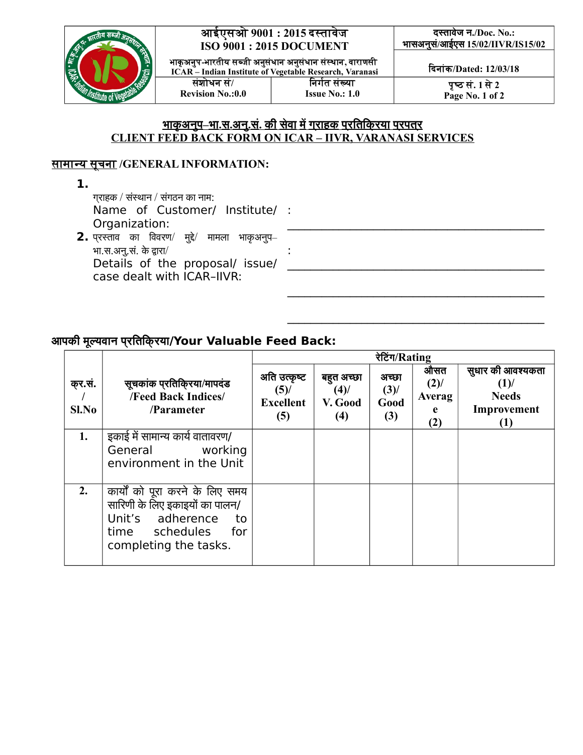

### **आईएसओ 9001 : 2015 दसततववज ISO 9001 : 2015 DOCUMENT**

**दस्तताववेज न./Doc. No.: भतासअनसस न /आईएस 15/02/IIVR/IS15/02**

**भतककअननप-भतरततय सबजत अननससधतन अननससधतन सससथतन , वतरतणसत ICAR – Indian Institute of Vegetable Research, Varanasi ससशशधन सस/ Revision No.:0.0 दनररत ससखयत Issue No.: 1.0**

\_\_\_\_\_\_\_\_\_\_\_\_\_\_\_\_\_\_\_\_\_\_\_\_\_\_\_\_\_\_\_\_\_\_\_\_\_\_\_\_\_\_\_\_\_

\_\_\_\_\_\_\_\_\_\_\_\_\_\_\_\_\_\_\_\_\_\_\_\_\_\_\_\_\_\_\_\_\_\_\_\_\_\_\_\_\_\_\_\_\_

\_\_\_\_\_\_\_\_\_\_\_\_\_\_\_\_\_\_\_\_\_\_\_\_\_\_\_\_\_\_\_\_\_\_\_\_\_\_\_\_\_\_\_\_\_

\_\_\_\_\_\_\_\_\_\_\_\_\_\_\_\_\_\_\_\_\_\_\_\_\_\_\_\_\_\_\_\_\_\_\_\_\_\_\_\_\_\_\_\_\_

### **भताककअनपन – भता. स. अन.न सस. कक सवेवता मवेस गगरताहक पगरतततकगरयता पगरपतरग CLIENT FEED BACK FORM ON ICAR – IIVR, VARANASI SERVICES**

:

## **सतमतनय सचनत स /GENERAL INFORMATION:**

**1.**

गराहक / संस्थान / संगठन का नाम: Name of Customer/ Institute/ : Organization:

**2.** प्**रस्ताव का विवरण/ मुद्दे/ मामला भाकृअनुप**– भा.स.अनू.सं. के द्वारा/ Details of the proposal/ issue/ case dealt with ICAR–IIVR:

# **आपकक ममल्यवतान पगरतततकगरयता/Your Valuable Feed Back:**

|                 |                                                                                                                                               | रेटिंग/Rating                                      |                                         |                                 |                                      |                                                                     |
|-----------------|-----------------------------------------------------------------------------------------------------------------------------------------------|----------------------------------------------------|-----------------------------------------|---------------------------------|--------------------------------------|---------------------------------------------------------------------|
| कर.सं.<br>Sl.No | सूचकांक प्रतिकि्रया/मापदंड<br><b>/Feed Back Indices/</b><br>/Parameter                                                                        | अति उत्कृष्ट<br>$(5)$ /<br><b>Excellent</b><br>(5) | बहुत अच्छा<br>$(4)$ /<br>V. Good<br>(4) | अच्छा<br>$(3)$ /<br>Good<br>(3) | औसत<br>$(2)$ /<br>Averag<br>e<br>(2) | सुधार की आवश्यकता<br>(1)<br><b>Needs</b><br>Improvement<br>$\bf(1)$ |
| 1.              | इकाई में सामान्य कार्य वातावरण/<br>General working<br>environment in the Unit                                                                 |                                                    |                                         |                                 |                                      |                                                                     |
| 2.              | कार्यों को पूरा करने के लिए समय<br>सारिणी के लिए इकाइयों का पालन/<br>Unit's adherence<br>to<br>time schedules<br>for<br>completing the tasks. |                                                    |                                         |                                 |                                      |                                                                     |